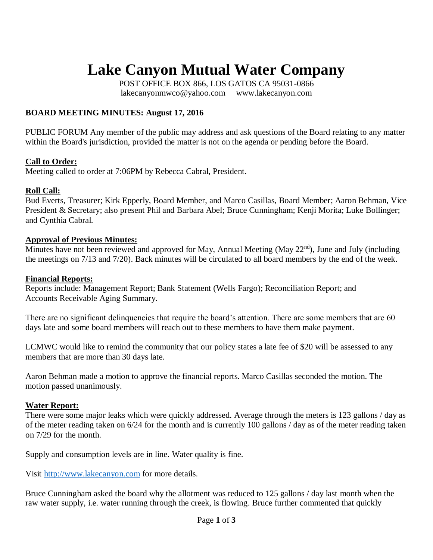# **Lake Canyon Mutual Water Company**

POST OFFICE BOX 866, LOS GATOS CA 95031-0866 [lakecanyonmwco@yahoo.com www.lakecanyon.com](http://h)

## **BOARD MEETING MINUTES: August 17, 2016**

PUBLIC FORUM Any member of the public may address and ask questions of the Board relating to any matter within the Board's jurisdiction, provided the matter is not on the agenda or pending before the Board.

## **Call to Order:**

Meeting called to order at 7:06PM by Rebecca Cabral, President.

## **Roll Call:**

Bud Everts, Treasurer; Kirk Epperly, Board Member, and Marco Casillas, Board Member; Aaron Behman, Vice President & Secretary; also present Phil and Barbara Abel; Bruce Cunningham; Kenji Morita; Luke Bollinger; and Cynthia Cabral.

## **Approval of Previous Minutes:**

Minutes have not been reviewed and approved for May, Annual Meeting (May  $22<sup>nd</sup>$ ), June and July (including the meetings on 7/13 and 7/20). Back minutes will be circulated to all board members by the end of the week.

#### **Financial Reports:**

Reports include: Management Report; Bank Statement (Wells Fargo); Reconciliation Report; and Accounts Receivable Aging Summary.

There are no significant delinquencies that require the board's attention. There are some members that are 60 days late and some board members will reach out to these members to have them make payment.

LCMWC would like to remind the community that our policy states a late fee of \$20 will be assessed to any members that are more than 30 days late.

Aaron Behman made a motion to approve the financial reports. Marco Casillas seconded the motion. The motion passed unanimously.

## **Water Report:**

There were some major leaks which were quickly addressed. Average through the meters is 123 gallons / day as of the meter reading taken on 6/24 for the month and is currently 100 gallons / day as of the meter reading taken on 7/29 for the month.

Supply and consumption levels are in line. Water quality is fine.

Visit [http://www.lakecanyon.com](http://www.lakecanyon.com/) for more details.

Bruce Cunningham asked the board why the allotment was reduced to 125 gallons / day last month when the raw water supply, i.e. water running through the creek, is flowing. Bruce further commented that quickly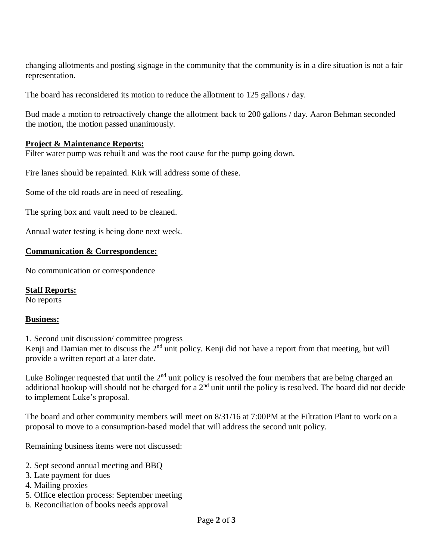changing allotments and posting signage in the community that the community is in a dire situation is not a fair representation.

The board has reconsidered its motion to reduce the allotment to 125 gallons / day.

Bud made a motion to retroactively change the allotment back to 200 gallons / day. Aaron Behman seconded the motion, the motion passed unanimously.

## **Project & Maintenance Reports:**

Filter water pump was rebuilt and was the root cause for the pump going down.

Fire lanes should be repainted. Kirk will address some of these.

Some of the old roads are in need of resealing.

The spring box and vault need to be cleaned.

Annual water testing is being done next week.

## **Communication & Correspondence:**

No communication or correspondence

**Staff Reports:** No reports

## **Business:**

1. Second unit discussion/ committee progress

Kenji and Damian met to discuss the  $2<sup>nd</sup>$  unit policy. Kenji did not have a report from that meeting, but will provide a written report at a later date.

Luke Bolinger requested that until the  $2<sup>nd</sup>$  unit policy is resolved the four members that are being charged an additional hookup will should not be charged for a 2<sup>nd</sup> unit until the policy is resolved. The board did not decide to implement Luke's proposal.

The board and other community members will meet on 8/31/16 at 7:00PM at the Filtration Plant to work on a proposal to move to a consumption-based model that will address the second unit policy.

Remaining business items were not discussed:

- 2. Sept second annual meeting and BBQ
- 3. Late payment for dues
- 4. Mailing proxies
- 5. Office election process: September meeting
- 6. Reconciliation of books needs approval